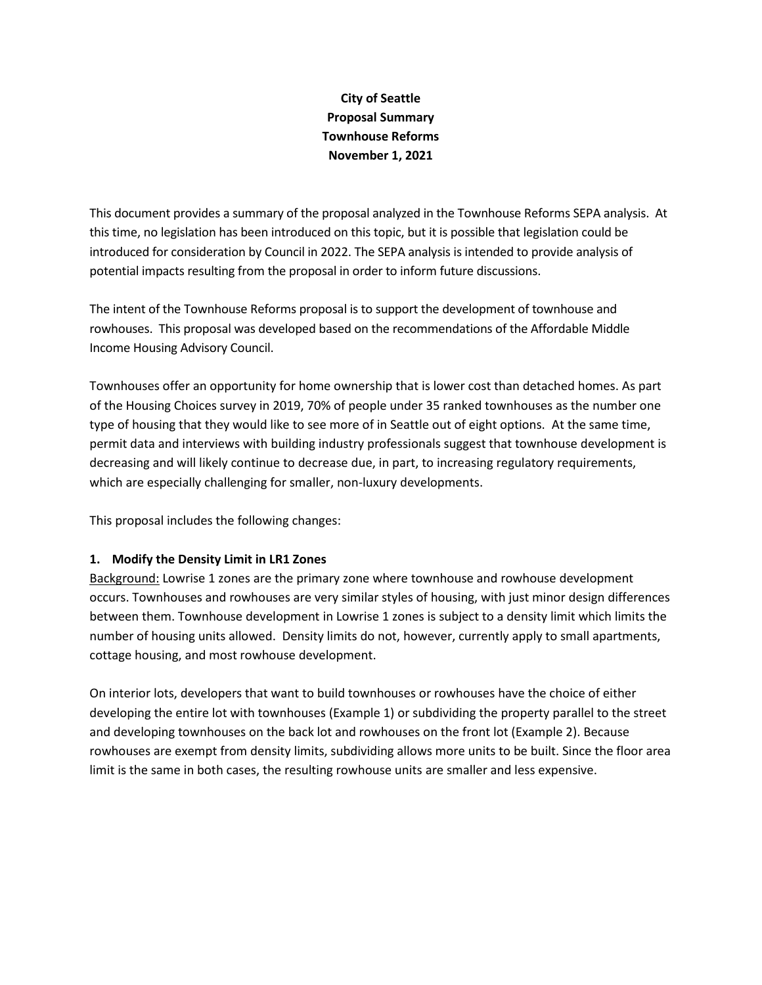## **City of Seattle Proposal Summary Townhouse Reforms November 1, 2021**

This document provides a summary of the proposal analyzed in the Townhouse Reforms SEPA analysis. At this time, no legislation has been introduced on this topic, but it is possible that legislation could be introduced for consideration by Council in 2022. The SEPA analysis is intended to provide analysis of potential impacts resulting from the proposal in order to inform future discussions.

The intent of the Townhouse Reforms proposal is to support the development of townhouse and rowhouses. This proposal was developed based on the recommendations of the Affordable Middle Income Housing Advisory Council.

Townhouses offer an opportunity for home ownership that is lower cost than detached homes. As part of the Housing Choices survey in 2019, 70% of people under 35 ranked townhouses as the number one type of housing that they would like to see more of in Seattle out of eight options. At the same time, permit data and interviews with building industry professionals suggest that townhouse development is decreasing and will likely continue to decrease due, in part, to increasing regulatory requirements, which are especially challenging for smaller, non-luxury developments.

This proposal includes the following changes:

## **1. Modify the Density Limit in LR1 Zones**

Background: Lowrise 1 zones are the primary zone where townhouse and rowhouse development occurs. Townhouses and rowhouses are very similar styles of housing, with just minor design differences between them. Townhouse development in Lowrise 1 zones is subject to a density limit which limits the number of housing units allowed. Density limits do not, however, currently apply to small apartments, cottage housing, and most rowhouse development.

On interior lots, developers that want to build townhouses or rowhouses have the choice of either developing the entire lot with townhouses (Example 1) or subdividing the property parallel to the street and developing townhouses on the back lot and rowhouses on the front lot (Example 2). Because rowhouses are exempt from density limits, subdividing allows more units to be built. Since the floor area limit is the same in both cases, the resulting rowhouse units are smaller and less expensive.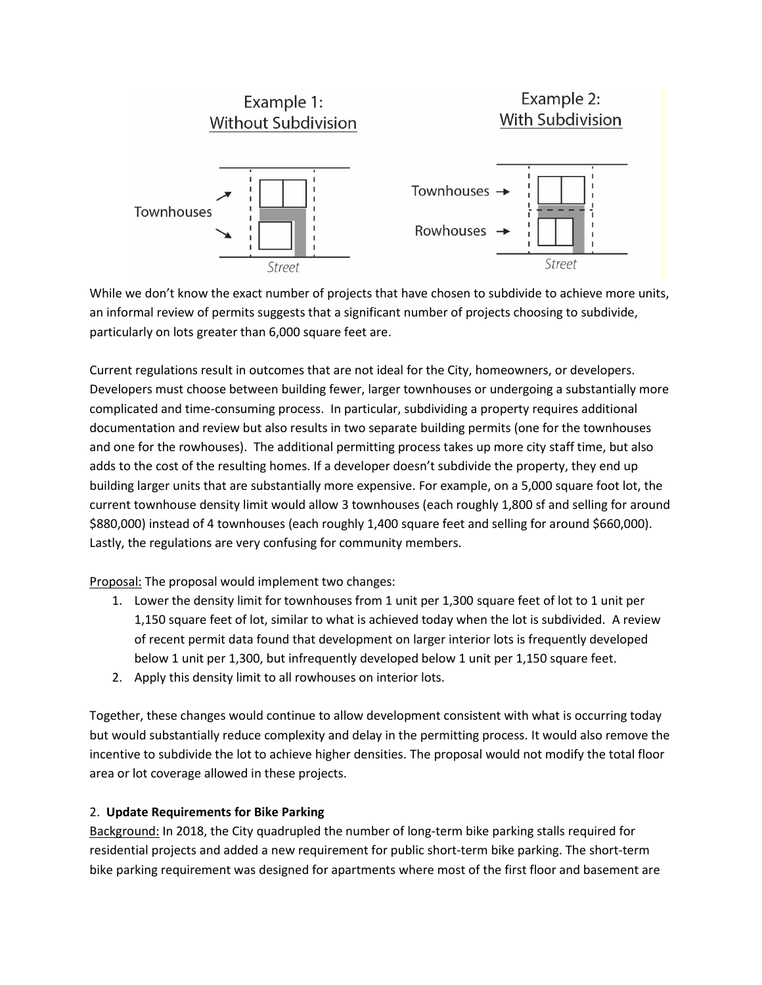

While we don't know the exact number of projects that have chosen to subdivide to achieve more units, an informal review of permits suggests that a significant number of projects choosing to subdivide, particularly on lots greater than 6,000 square feet are.

Current regulations result in outcomes that are not ideal for the City, homeowners, or developers. Developers must choose between building fewer, larger townhouses or undergoing a substantially more complicated and time-consuming process. In particular, subdividing a property requires additional documentation and review but also results in two separate building permits (one for the townhouses and one for the rowhouses). The additional permitting process takes up more city staff time, but also adds to the cost of the resulting homes. If a developer doesn't subdivide the property, they end up building larger units that are substantially more expensive. For example, on a 5,000 square foot lot, the current townhouse density limit would allow 3 townhouses (each roughly 1,800 sf and selling for around \$880,000) instead of 4 townhouses (each roughly 1,400 square feet and selling for around \$660,000). Lastly, the regulations are very confusing for community members.

Proposal: The proposal would implement two changes:

- 1. Lower the density limit for townhouses from 1 unit per 1,300 square feet of lot to 1 unit per 1,150 square feet of lot, similar to what is achieved today when the lot is subdivided. A review of recent permit data found that development on larger interior lots is frequently developed below 1 unit per 1,300, but infrequently developed below 1 unit per 1,150 square feet.
- 2. Apply this density limit to all rowhouses on interior lots.

Together, these changes would continue to allow development consistent with what is occurring today but would substantially reduce complexity and delay in the permitting process. It would also remove the incentive to subdivide the lot to achieve higher densities. The proposal would not modify the total floor area or lot coverage allowed in these projects.

## 2. **Update Requirements for Bike Parking**

Background: In 2018, the City quadrupled the number of long-term bike parking stalls required for residential projects and added a new requirement for public short-term bike parking. The short-term bike parking requirement was designed for apartments where most of the first floor and basement are